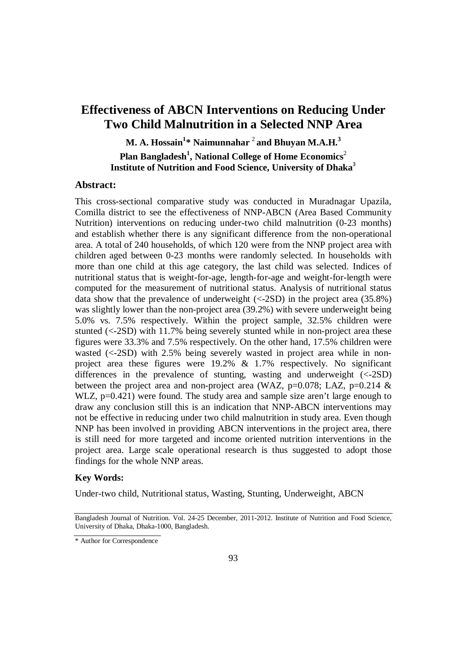# **Effectiveness of ABCN Interventions on Reducing Under Two Child Malnutrition in a Selected NNP Area**

**M. A. Hossain<sup>1</sup> \* Naimunnahar** <sup>2</sup> **and Bhuyan M.A.H.<sup>3</sup> Plan Bangladesh<sup>1</sup> , National College of Home Economics**<sup>2</sup>

**Institute of Nutrition and Food Science, University of Dhaka**<sup>3</sup>

## **Abstract:**

This cross-sectional comparative study was conducted in Muradnagar Upazila, Comilla district to see the effectiveness of NNP-ABCN (Area Based Community Nutrition) interventions on reducing under-two child malnutrition (0-23 months) and establish whether there is any significant difference from the non-operational area. A total of 240 households, of which 120 were from the NNP project area with children aged between 0-23 months were randomly selected. In households with more than one child at this age category, the last child was selected. Indices of nutritional status that is weight-for-age, length-for-age and weight-for-length were computed for the measurement of nutritional status. Analysis of nutritional status data show that the prevalence of underweight  $\langle \langle -2SD \rangle$  in the project area (35.8%) was slightly lower than the non-project area (39.2%) with severe underweight being 5.0% vs. 7.5% respectively. Within the project sample, 32.5% children were stunted (<-2SD) with 11.7% being severely stunted while in non-project area these figures were 33.3% and 7.5% respectively. On the other hand, 17.5% children were wasted (<-2SD) with 2.5% being severely wasted in project area while in nonproject area these figures were 19.2% & 1.7% respectively. No significant differences in the prevalence of stunting, wasting and underweight (<-2SD) between the project area and non-project area (WAZ,  $p=0.078$ ; LAZ,  $p=0.214 \&$ WLZ, p=0.421) were found. The study area and sample size aren't large enough to draw any conclusion still this is an indication that NNP-ABCN interventions may not be effective in reducing under two child malnutrition in study area. Even though NNP has been involved in providing ABCN interventions in the project area, there is still need for more targeted and income oriented nutrition interventions in the project area. Large scale operational research is thus suggested to adopt those findings for the whole NNP areas.

## **Key Words:**

Under-two child, Nutritional status, Wasting, Stunting, Underweight, ABCN

Bangladesh Journal of Nutrition. Vol. 24-25 December, 2011-2012. Institute of Nutrition and Food Science, University of Dhaka, Dhaka-1000, Bangladesh.

<sup>\*</sup> Author for Correspondence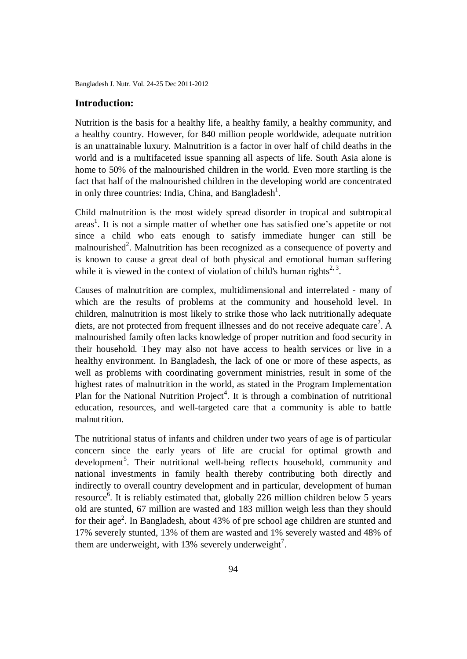#### **Introduction:**

Nutrition is the basis for a healthy life, a healthy family, a healthy community, and a healthy country. However, for 840 million people worldwide, adequate nutrition is an unattainable luxury. Malnutrition is a factor in over half of child deaths in the world and is a multifaceted issue spanning all aspects of life. South Asia alone is home to 50% of the malnourished children in the world. Even more startling is the fact that half of the malnourished children in the developing world are concentrated in only three countries: India, China, and Bangladesh<sup>1</sup>.

Child malnutrition is the most widely spread disorder in tropical and subtropical areas<sup>1</sup>. It is not a simple matter of whether one has satisfied one's appetite or not since a child who eats enough to satisfy immediate hunger can still be malnourished<sup>2</sup>. Malnutrition has been recognized as a consequence of poverty and is known to cause a great deal of both physical and emotional human suffering while it is viewed in the context of violation of child's human rights<sup>2, 3</sup>.

Causes of malnutrition are complex, multidimensional and interrelated - many of which are the results of problems at the community and household level. In children, malnutrition is most likely to strike those who lack nutritionally adequate diets, are not protected from frequent illnesses and do not receive adequate care<sup>2</sup>. A malnourished family often lacks knowledge of proper nutrition and food security in their household. They may also not have access to health services or live in a healthy environment. In Bangladesh, the lack of one or more of these aspects, as well as problems with coordinating government ministries, result in some of the highest rates of malnutrition in the world, as stated in the Program Implementation Plan for the National Nutrition Project<sup>4</sup>. It is through a combination of nutritional education, resources, and well-targeted care that a community is able to battle malnutrition.

The nutritional status of infants and children under two years of age is of particular concern since the early years of life are crucial for optimal growth and development<sup>5</sup>. Their nutritional well-being reflects household, community and national investments in family health thereby contributing both directly and indirectly to overall country development and in particular, development of human resource<sup>6</sup>. It is reliably estimated that, globally 226 million children below 5 years old are stunted, 67 million are wasted and 183 million weigh less than they should for their age<sup>2</sup>. In Bangladesh, about 43% of pre school age children are stunted and 17% severely stunted, 13% of them are wasted and 1% severely wasted and 48% of them are underweight, with 13% severely underweight<sup>7</sup>.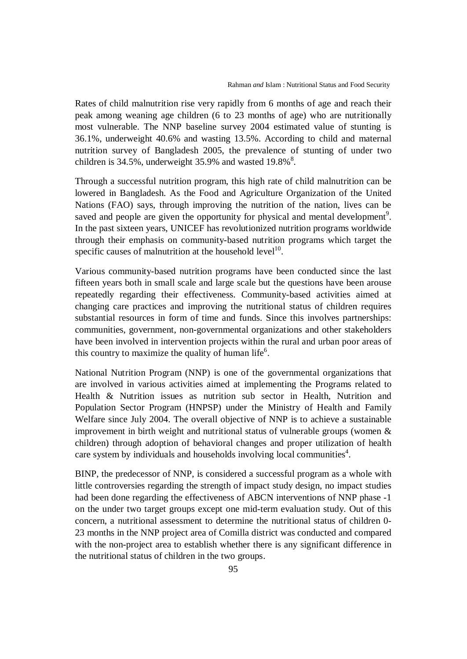Rates of child malnutrition rise very rapidly from 6 months of age and reach their peak among weaning age children (6 to 23 months of age) who are nutritionally most vulnerable. The NNP baseline survey 2004 estimated value of stunting is 36.1%, underweight 40.6% and wasting 13.5%. According to child and maternal nutrition survey of Bangladesh 2005, the prevalence of stunting of under two children is 34.5%, underweight  $35.9\%$  and wasted  $19.8\%$ <sup>8</sup>.

Through a successful nutrition program, this high rate of child malnutrition can be lowered in Bangladesh. As the Food and Agriculture Organization of the United Nations (FAO) says, through improving the nutrition of the nation, lives can be saved and people are given the opportunity for physical and mental development<sup>9</sup>. In the past sixteen years, UNICEF has revolutionized nutrition programs worldwide through their emphasis on community-based nutrition programs which target the specific causes of malnutrition at the household  $level<sup>10</sup>$ .

Various community-based nutrition programs have been conducted since the last fifteen years both in small scale and large scale but the questions have been arouse repeatedly regarding their effectiveness. Community-based activities aimed at changing care practices and improving the nutritional status of children requires substantial resources in form of time and funds. Since this involves partnerships: communities, government, non-governmental organizations and other stakeholders have been involved in intervention projects within the rural and urban poor areas of this country to maximize the quality of human life<sup>6</sup>.

National Nutrition Program (NNP) is one of the governmental organizations that are involved in various activities aimed at implementing the Programs related to Health & Nutrition issues as nutrition sub sector in Health, Nutrition and Population Sector Program (HNPSP) under the Ministry of Health and Family Welfare since July 2004. The overall objective of NNP is to achieve a sustainable improvement in birth weight and nutritional status of vulnerable groups (women & children) through adoption of behavioral changes and proper utilization of health care system by individuals and households involving local communities<sup>4</sup>.

BINP, the predecessor of NNP, is considered a successful program as a whole with little controversies regarding the strength of impact study design, no impact studies had been done regarding the effectiveness of ABCN interventions of NNP phase -1 on the under two target groups except one mid-term evaluation study. Out of this concern, a nutritional assessment to determine the nutritional status of children 0- 23 months in the NNP project area of Comilla district was conducted and compared with the non-project area to establish whether there is any significant difference in the nutritional status of children in the two groups.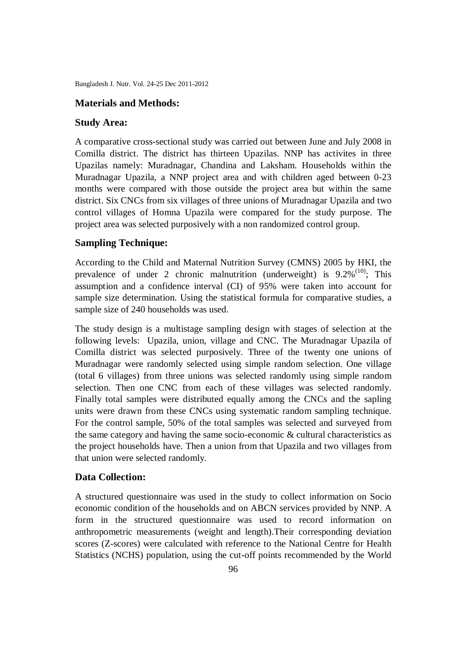#### **Materials and Methods:**

#### **Study Area:**

A comparative cross-sectional study was carried out between June and July 2008 in Comilla district. The district has thirteen Upazilas. NNP has activites in three Upazilas namely: Muradnagar, Chandina and Laksham. Households within the Muradnagar Upazila, a NNP project area and with children aged between 0-23 months were compared with those outside the project area but within the same district. Six CNCs from six villages of three unions of Muradnagar Upazila and two control villages of Homna Upazila were compared for the study purpose. The project area was selected purposively with a non randomized control group.

#### **Sampling Technique:**

According to the Child and Maternal Nutrition Survey (CMNS) 2005 by HKI, the prevalence of under 2 chronic malnutrition (underweight) is  $9.2\%^{(10)}$ ; This assumption and a confidence interval (CI) of 95% were taken into account for sample size determination. Using the statistical formula for comparative studies, a sample size of 240 households was used.

The study design is a multistage sampling design with stages of selection at the following levels: Upazila, union, village and CNC. The Muradnagar Upazila of Comilla district was selected purposively. Three of the twenty one unions of Muradnagar were randomly selected using simple random selection. One village (total 6 villages) from three unions was selected randomly using simple random selection. Then one CNC from each of these villages was selected randomly. Finally total samples were distributed equally among the CNCs and the sapling units were drawn from these CNCs using systematic random sampling technique. For the control sample, 50% of the total samples was selected and surveyed from the same category and having the same socio-economic & cultural characteristics as the project households have. Then a union from that Upazila and two villages from that union were selected randomly.

#### **Data Collection:**

A structured questionnaire was used in the study to collect information on Socio economic condition of the households and on ABCN services provided by NNP. A form in the structured questionnaire was used to record information on anthropometric measurements (weight and length).Their corresponding deviation scores (Z-scores) were calculated with reference to the National Centre for Health Statistics (NCHS) population, using the cut-off points recommended by the World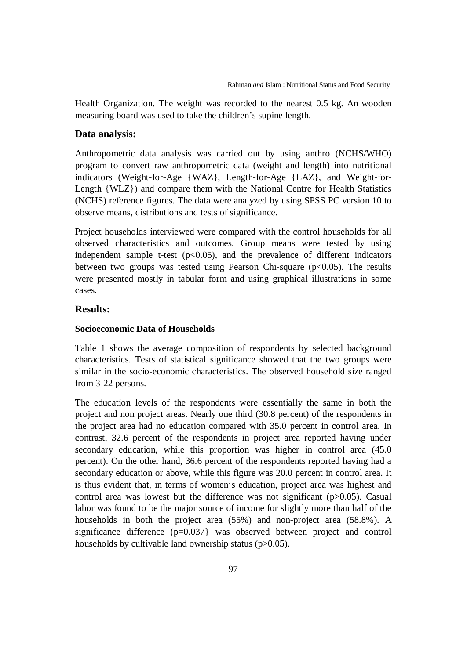Health Organization. The weight was recorded to the nearest 0.5 kg. An wooden measuring board was used to take the children's supine length.

#### **Data analysis:**

Anthropometric data analysis was carried out by using anthro (NCHS/WHO) program to convert raw anthropometric data (weight and length) into nutritional indicators (Weight-for-Age {WAZ}, Length-for-Age {LAZ}, and Weight-for-Length {WLZ}) and compare them with the National Centre for Health Statistics (NCHS) reference figures. The data were analyzed by using SPSS PC version 10 to observe means, distributions and tests of significance.

Project households interviewed were compared with the control households for all observed characteristics and outcomes. Group means were tested by using independent sample t-test  $(p<0.05)$ , and the prevalence of different indicators between two groups was tested using Pearson Chi-square  $(p<0.05)$ . The results were presented mostly in tabular form and using graphical illustrations in some cases.

#### **Results:**

#### **Socioeconomic Data of Households**

Table 1 shows the average composition of respondents by selected background characteristics. Tests of statistical significance showed that the two groups were similar in the socio-economic characteristics. The observed household size ranged from 3-22 persons.

The education levels of the respondents were essentially the same in both the project and non project areas. Nearly one third (30.8 percent) of the respondents in the project area had no education compared with 35.0 percent in control area. In contrast, 32.6 percent of the respondents in project area reported having under secondary education, while this proportion was higher in control area (45.0 percent). On the other hand, 36.6 percent of the respondents reported having had a secondary education or above, while this figure was 20.0 percent in control area. It is thus evident that, in terms of women's education, project area was highest and control area was lowest but the difference was not significant (p>0.05). Casual labor was found to be the major source of income for slightly more than half of the households in both the project area (55%) and non-project area (58.8%). A significance difference (p=0.037} was observed between project and control households by cultivable land ownership status (p>0.05).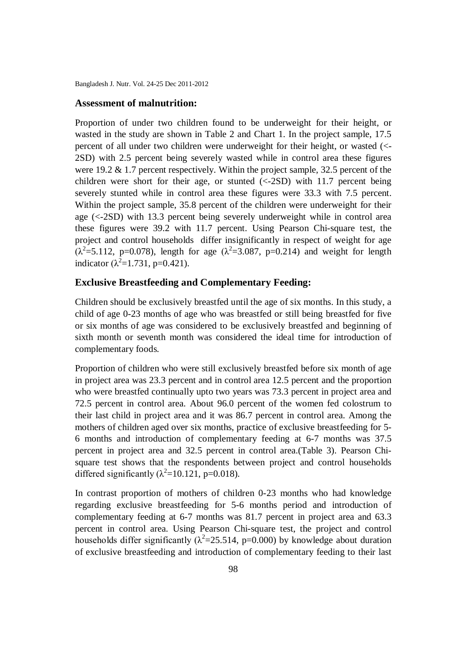#### **Assessment of malnutrition:**

Proportion of under two children found to be underweight for their height, or wasted in the study are shown in Table 2 and Chart 1. In the project sample, 17.5 percent of all under two children were underweight for their height, or wasted (<- 2SD) with 2.5 percent being severely wasted while in control area these figures were 19.2 & 1.7 percent respectively. Within the project sample, 32.5 percent of the children were short for their age, or stunted (<-2SD) with 11.7 percent being severely stunted while in control area these figures were 33.3 with 7.5 percent. Within the project sample, 35.8 percent of the children were underweight for their age (<-2SD) with 13.3 percent being severely underweight while in control area these figures were 39.2 with 11.7 percent. Using Pearson Chi-square test, the project and control households differ insignificantly in respect of weight for age ( $\lambda^2$ =5.112, p=0.078), length for age ( $\lambda^2$ =3.087, p=0.214) and weight for length indicator ( $\lambda^2$ =1.731, p=0.421).

## **Exclusive Breastfeeding and Complementary Feeding:**

Children should be exclusively breastfed until the age of six months. In this study, a child of age 0-23 months of age who was breastfed or still being breastfed for five or six months of age was considered to be exclusively breastfed and beginning of sixth month or seventh month was considered the ideal time for introduction of complementary foods.

Proportion of children who were still exclusively breastfed before six month of age in project area was 23.3 percent and in control area 12.5 percent and the proportion who were breastfed continually upto two years was 73.3 percent in project area and 72.5 percent in control area. About 96.0 percent of the women fed colostrum to their last child in project area and it was 86.7 percent in control area. Among the mothers of children aged over six months, practice of exclusive breastfeeding for 5- 6 months and introduction of complementary feeding at 6-7 months was 37.5 percent in project area and 32.5 percent in control area.(Table 3). Pearson Chisquare test shows that the respondents between project and control households differed significantly ( $\lambda^2$ =10.121, p=0.018).

In contrast proportion of mothers of children 0-23 months who had knowledge regarding exclusive breastfeeding for 5-6 months period and introduction of complementary feeding at 6-7 months was 81.7 percent in project area and 63.3 percent in control area. Using Pearson Chi-square test, the project and control households differ significantly ( $\lambda^2$ =25.514, p=0.000) by knowledge about duration of exclusive breastfeeding and introduction of complementary feeding to their last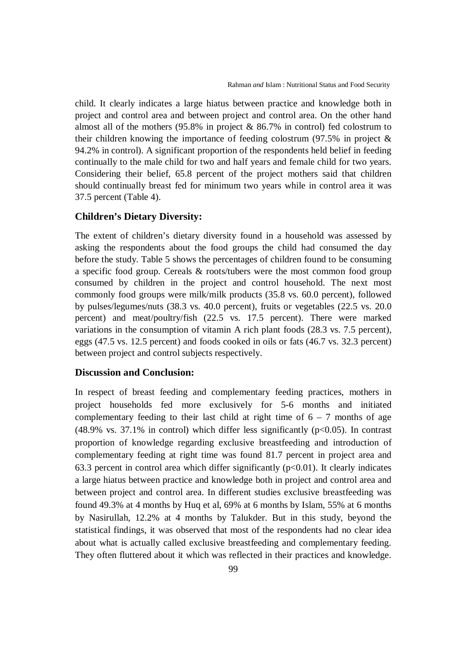child. It clearly indicates a large hiatus between practice and knowledge both in project and control area and between project and control area. On the other hand almost all of the mothers (95.8% in project & 86.7% in control) fed colostrum to their children knowing the importance of feeding colostrum (97.5% in project & 94.2% in control). A significant proportion of the respondents held belief in feeding continually to the male child for two and half years and female child for two years. Considering their belief, 65.8 percent of the project mothers said that children should continually breast fed for minimum two years while in control area it was 37.5 percent (Table 4).

### **Children's Dietary Diversity:**

The extent of children's dietary diversity found in a household was assessed by asking the respondents about the food groups the child had consumed the day before the study. Table 5 shows the percentages of children found to be consuming a specific food group. Cereals & roots/tubers were the most common food group consumed by children in the project and control household. The next most commonly food groups were milk/milk products (35.8 vs. 60.0 percent), followed by pulses/legumes/nuts (38.3 vs. 40.0 percent), fruits or vegetables (22.5 vs. 20.0 percent) and meat/poultry/fish (22.5 vs. 17.5 percent). There were marked variations in the consumption of vitamin A rich plant foods (28.3 vs. 7.5 percent), eggs (47.5 vs. 12.5 percent) and foods cooked in oils or fats (46.7 vs. 32.3 percent) between project and control subjects respectively.

## **Discussion and Conclusion:**

In respect of breast feeding and complementary feeding practices, mothers in project households fed more exclusively for 5-6 months and initiated complementary feeding to their last child at right time of  $6 - 7$  months of age (48.9% vs. 37.1% in control) which differ less significantly ( $p<0.05$ ). In contrast proportion of knowledge regarding exclusive breastfeeding and introduction of complementary feeding at right time was found 81.7 percent in project area and 63.3 percent in control area which differ significantly  $(p<0.01)$ . It clearly indicates a large hiatus between practice and knowledge both in project and control area and between project and control area. In different studies exclusive breastfeeding was found 49.3% at 4 months by Huq et al, 69% at 6 months by Islam, 55% at 6 months by Nasirullah, 12.2% at 4 months by Talukder. But in this study, beyond the statistical findings, it was observed that most of the respondents had no clear idea about what is actually called exclusive breastfeeding and complementary feeding. They often fluttered about it which was reflected in their practices and knowledge.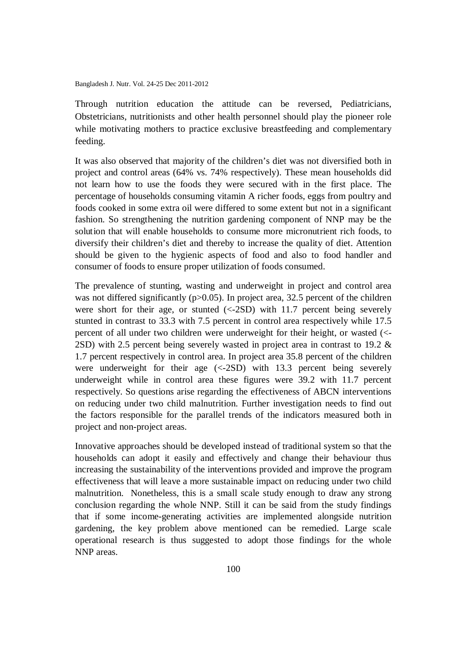Through nutrition education the attitude can be reversed, Pediatricians, Obstetricians, nutritionists and other health personnel should play the pioneer role while motivating mothers to practice exclusive breastfeeding and complementary feeding.

It was also observed that majority of the children's diet was not diversified both in project and control areas (64% vs. 74% respectively). These mean households did not learn how to use the foods they were secured with in the first place. The percentage of households consuming vitamin A richer foods, eggs from poultry and foods cooked in some extra oil were differed to some extent but not in a significant fashion. So strengthening the nutrition gardening component of NNP may be the solution that will enable households to consume more micronutrient rich foods, to diversify their children's diet and thereby to increase the quality of diet. Attention should be given to the hygienic aspects of food and also to food handler and consumer of foods to ensure proper utilization of foods consumed.

The prevalence of stunting, wasting and underweight in project and control area was not differed significantly (p>0.05). In project area, 32.5 percent of the children were short for their age, or stunted  $\langle \langle -2SD \rangle$  with 11.7 percent being severely stunted in contrast to 33.3 with 7.5 percent in control area respectively while 17.5 percent of all under two children were underweight for their height, or wasted (<- 2SD) with 2.5 percent being severely wasted in project area in contrast to 19.2 & 1.7 percent respectively in control area. In project area 35.8 percent of the children were underweight for their age (<-2SD) with 13.3 percent being severely underweight while in control area these figures were 39.2 with 11.7 percent respectively. So questions arise regarding the effectiveness of ABCN interventions on reducing under two child malnutrition. Further investigation needs to find out the factors responsible for the parallel trends of the indicators measured both in project and non-project areas.

Innovative approaches should be developed instead of traditional system so that the households can adopt it easily and effectively and change their behaviour thus increasing the sustainability of the interventions provided and improve the program effectiveness that will leave a more sustainable impact on reducing under two child malnutrition. Nonetheless, this is a small scale study enough to draw any strong conclusion regarding the whole NNP. Still it can be said from the study findings that if some income-generating activities are implemented alongside nutrition gardening, the key problem above mentioned can be remedied. Large scale operational research is thus suggested to adopt those findings for the whole NNP areas.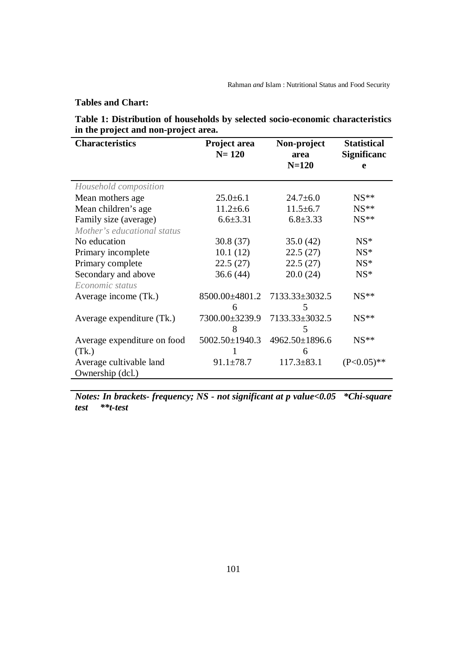**Tables and Chart:**

|                                      | Table 1: Distribution of households by selected socio-economic characteristics |
|--------------------------------------|--------------------------------------------------------------------------------|
| in the project and non-project area. |                                                                                |

| <b>Characteristics</b>      | Project area<br>$N = 120$ | Non-project<br>area | <b>Statistical</b><br><b>Significanc</b> |  |
|-----------------------------|---------------------------|---------------------|------------------------------------------|--|
|                             |                           | $N=120$             | e                                        |  |
| Household composition       |                           |                     |                                          |  |
| Mean mothers age            | $25.0 \pm 6.1$            | $24.7 \pm 6.0$      | $NS**$                                   |  |
| Mean children's age         | $11.2 \pm 6.6$            | $11.5 \pm 6.7$      | $NS**$                                   |  |
| Family size (average)       | $6.6 \pm 3.31$            | $6.8 \pm 3.33$      | $NS**$                                   |  |
| Mother's educational status |                           |                     |                                          |  |
| No education                | 30.8(37)                  | 35.0(42)            | $NS*$                                    |  |
| Primary incomplete          | 10.1(12)                  | 22.5(27)            | $NS*$                                    |  |
| Primary complete            | 22.5(27)                  | 22.5(27)            | $NS*$                                    |  |
| Secondary and above         | 36.6(44)                  | 20.0 (24)           | $NS*$                                    |  |
| Economic status             |                           |                     |                                          |  |
| Average income (Tk.)        | 8500.00±4801.2            | 7133.33±3032.5      | $NS**$                                   |  |
|                             | 6                         | 5                   |                                          |  |
| Average expenditure (Tk.)   | 7300.00±3239.9            | 7133.33±3032.5      | $NS**$                                   |  |
|                             | 8                         | 5                   |                                          |  |
| Average expenditure on food | 5002.50±1940.3            | 4962.50±1896.6      | $NS**$                                   |  |
| (Tk.)                       |                           | 6                   |                                          |  |
| Average cultivable land     | $91.1 \pm 78.7$           | $117.3 \pm 83.1$    | $(P<0.05)$ **                            |  |
| Ownership (dcl.)            |                           |                     |                                          |  |

*Notes: In brackets- frequency; NS - not significant at p value<0.05 \*Chi-square test \*\*t-test*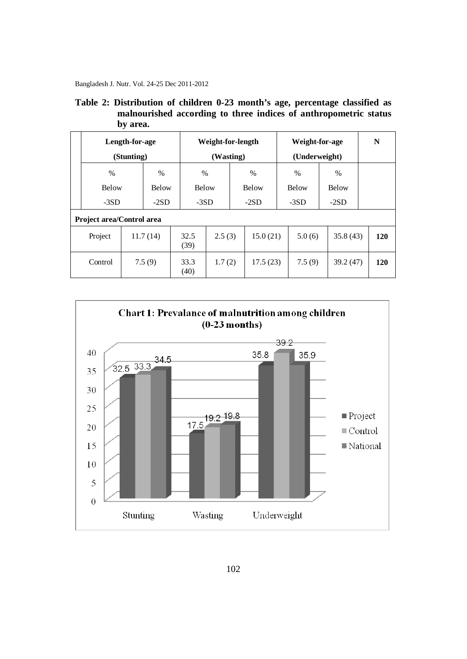Bangladesh J. Nutr. Vol. 24-25 Dec 2011-2012

|  | Table 2: Distribution of children 0-23 month's age, percentage classified as |
|--|------------------------------------------------------------------------------|
|  | malnourished according to three indices of anthropometric status             |
|  | by area.                                                                     |

|                           | Length-for-age<br>(Stunting) |              |  | Weight-for-length<br>(Wasting) |        |  | Weight-for-age<br>(Underweight) |        |               | N      |              |     |
|---------------------------|------------------------------|--------------|--|--------------------------------|--------|--|---------------------------------|--------|---------------|--------|--------------|-----|
| $\frac{0}{0}$             |                              | $\%$         |  | $\frac{0}{0}$                  |        |  | $\%$                            |        | $\frac{0}{0}$ |        | $\%$         |     |
| <b>Below</b>              |                              | <b>Below</b> |  | <b>Below</b>                   |        |  | <b>Below</b>                    |        | <b>Below</b>  |        | <b>Below</b> |     |
| $-3SD$                    |                              | $-2SD$       |  | $-3SD$                         |        |  | $-2SD$                          | $-3SD$ |               | $-2SD$ |              |     |
| Project area/Control area |                              |              |  |                                |        |  |                                 |        |               |        |              |     |
| Project                   |                              | 11.7(14)     |  | 32.5<br>(39)                   | 2.5(3) |  | 15.0(21)                        |        | 5.0(6)        |        | 35.8(43)     | 120 |
| Control                   |                              | 7.5(9)       |  | 33.3<br>(40)                   | 1.7(2) |  | 17.5(23)                        |        | 7.5(9)        |        | 39.2 (47)    | 120 |

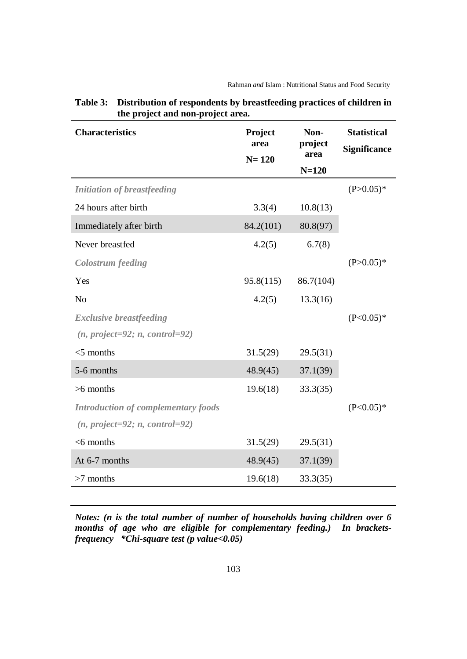| <b>Characteristics</b>                     | Project<br>area<br>$N = 120$ | Non-<br>project<br>area<br>$N=120$ | <b>Statistical</b><br><b>Significance</b> |
|--------------------------------------------|------------------------------|------------------------------------|-------------------------------------------|
| <b>Initiation of breastfeeding</b>         |                              |                                    | $(P>0.05)^*$                              |
| 24 hours after birth                       | 3.3(4)                       | 10.8(13)                           |                                           |
| Immediately after birth                    | 84.2(101)                    | 80.8(97)                           |                                           |
| Never breastfed                            | 4.2(5)                       | 6.7(8)                             |                                           |
| <b>Colostrum</b> feeding                   |                              |                                    | $(P>0.05)^*$                              |
| Yes                                        | 95.8(115)                    | 86.7(104)                          |                                           |
| N <sub>o</sub>                             | 4.2(5)                       | 13.3(16)                           |                                           |
| <b>Exclusive breastfeeding</b>             |                              |                                    | $(P<0.05)*$                               |
| $(n, project=92; n, control=92)$           |                              |                                    |                                           |
| $<$ 5 months                               | 31.5(29)                     | 29.5(31)                           |                                           |
| 5-6 months                                 | 48.9(45)                     | 37.1(39)                           |                                           |
| $>6$ months                                | 19.6(18)                     | 33.3(35)                           |                                           |
| <b>Introduction of complementary foods</b> |                              |                                    | $(P<0.05)*$                               |
| $(n, project=92; n, control=92)$           |                              |                                    |                                           |
| $<$ 6 months                               | 31.5(29)                     | 29.5(31)                           |                                           |
| At 6-7 months                              | 48.9(45)                     | 37.1(39)                           |                                           |
| $>7$ months                                | 19.6(18)                     | 33.3(35)                           |                                           |

**Table 3: Distribution of respondents by breastfeeding practices of children in the project and non-project area.**

*Notes: (n is the total number of number of households having children over 6 months of age who are eligible for complementary feeding.) In bracketsfrequency \*Chi-square test (p value<0.05)*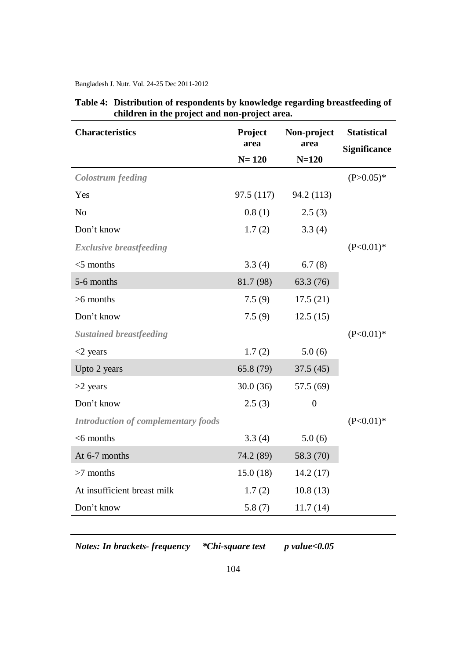| <b>Characteristics</b>                     | Project<br>area | Non-project<br>area | <b>Statistical</b><br><b>Significance</b> |  |
|--------------------------------------------|-----------------|---------------------|-------------------------------------------|--|
|                                            | $N = 120$       | $N = 120$           |                                           |  |
| <b>Colostrum</b> feeding                   |                 |                     | $(P>0.05)^*$                              |  |
| Yes                                        | 97.5(117)       | 94.2 (113)          |                                           |  |
| N <sub>o</sub>                             | 0.8(1)          | 2.5(3)              |                                           |  |
| Don't know                                 | 1.7(2)          | 3.3(4)              |                                           |  |
| <b>Exclusive breastfeeding</b>             |                 |                     | $(P<0.01)*$                               |  |
| $<$ 5 months                               | 3.3(4)          | 6.7(8)              |                                           |  |
| 5-6 months                                 | 81.7 (98)       | 63.3 (76)           |                                           |  |
| $>6$ months                                | 7.5(9)          | 17.5(21)            |                                           |  |
| Don't know                                 | 7.5(9)          | 12.5(15)            |                                           |  |
| <b>Sustained breastfeeding</b>             |                 |                     | $(P<0.01)*$                               |  |
| $<$ 2 years                                | 1.7(2)          | 5.0(6)              |                                           |  |
| Upto 2 years                               | 65.8 (79)       | 37.5(45)            |                                           |  |
| $>2$ years                                 | 30.0(36)        | 57.5 (69)           |                                           |  |
| Don't know                                 | 2.5(3)          | $\overline{0}$      |                                           |  |
| <b>Introduction of complementary foods</b> |                 |                     | $(P<0.01)*$                               |  |
| $<$ 6 months                               | 3.3(4)          | 5.0(6)              |                                           |  |
| At 6-7 months                              | 74.2 (89)       | 58.3 (70)           |                                           |  |
| $>7$ months                                | 15.0(18)        | 14.2(17)            |                                           |  |
| At insufficient breast milk                | 1.7(2)          | 10.8(13)            |                                           |  |
| Don't know                                 | 5.8(7)          | 11.7(14)            |                                           |  |

| Table 4: Distribution of respondents by knowledge regarding breastfeeding of |
|------------------------------------------------------------------------------|
| children in the project and non-project area.                                |

*Notes: In brackets- frequency \*Chi-square test p value<0.05*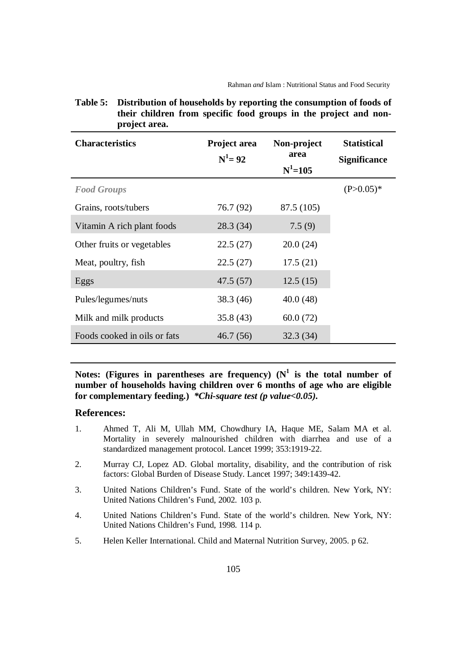| <b>Characteristics</b>       | Project area<br>$N^1 = 92$ | Non-project<br>area<br>$N^1 = 105$ | <b>Statistical</b><br><b>Significance</b> |
|------------------------------|----------------------------|------------------------------------|-------------------------------------------|
| <b>Food Groups</b>           |                            |                                    | $(P>0.05)*$                               |
| Grains, roots/tubers         | 76.7 (92)                  | 87.5 (105)                         |                                           |
| Vitamin A rich plant foods   | 28.3 (34)                  | 7.5(9)                             |                                           |
| Other fruits or vegetables   | 22.5(27)                   | 20.0(24)                           |                                           |
| Meat, poultry, fish          | 22.5(27)                   | 17.5(21)                           |                                           |
| Eggs                         | 47.5 (57)                  | 12.5(15)                           |                                           |
| Pules/legumes/nuts           | 38.3 (46)                  | 40.0(48)                           |                                           |
| Milk and milk products       | 35.8(43)                   | 60.0(72)                           |                                           |
| Foods cooked in oils or fats | 46.7(56)                   | 32.3(34)                           |                                           |

## **Table 5: Distribution of households by reporting the consumption of foods of their children from specific food groups in the project and nonproject area.**

Notes: (Figures in parentheses are frequency)  $(N^1)$  is the total number of **number of households having children over 6 months of age who are eligible for complementary feeding.)** *\*Chi-square test (p value<0.05).*

## **References:**

- 1. Ahmed T, Ali M, Ullah MM, Chowdhury IA, Haque ME, Salam MA et al. Mortality in severely malnourished children with diarrhea and use of a standardized management protocol. Lancet 1999; 353:1919-22.
- 2. Murray CJ, Lopez AD. Global mortality, disability, and the contribution of risk factors: Global Burden of Disease Study. Lancet 1997; 349:1439-42.
- 3. United Nations Children's Fund. State of the world's children. New York, NY: United Nations Children's Fund, 2002. 103 p.
- 4. United Nations Children's Fund. State of the world's children. New York, NY: United Nations Children's Fund, 1998. 114 p.
- 5. Helen Keller International. Child and Maternal Nutrition Survey, 2005. p 62.